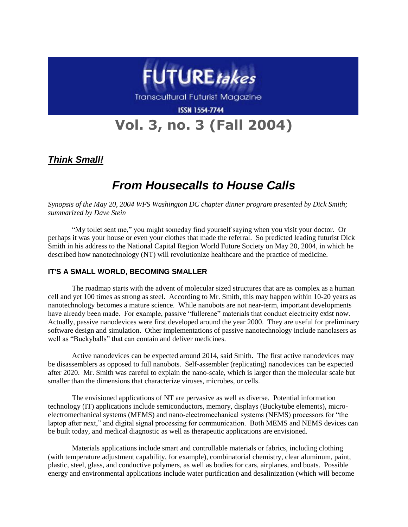

Transcultural Futurist Magazine

**ISSN 1554-7744** 

# **Vol. 3, no. 3 (Fall 2004)**

*Think Small!*

## *From Housecalls to House Calls*

*Synopsis of the May 20, 2004 WFS Washington DC chapter dinner program presented by Dick Smith; summarized by Dave Stein*

"My toilet sent me," you might someday find yourself saying when you visit your doctor. Or perhaps it was your house or even your clothes that made the referral. So predicted leading futurist Dick Smith in his address to the National Capital Region World Future Society on May 20, 2004, in which he described how nanotechnology (NT) will revolutionize healthcare and the practice of medicine.

#### **IT'S A SMALL WORLD, BECOMING SMALLER**

The roadmap starts with the advent of molecular sized structures that are as complex as a human cell and yet 100 times as strong as steel. According to Mr. Smith, this may happen within 10-20 years as nanotechnology becomes a mature science. While nanobots are not near-term, important developments have already been made. For example, passive "fullerene" materials that conduct electricity exist now. Actually, passive nanodevices were first developed around the year 2000. They are useful for preliminary software design and simulation. Other implementations of passive nanotechnology include nanolasers as well as "Buckyballs" that can contain and deliver medicines.

Active nanodevices can be expected around 2014, said Smith. The first active nanodevices may be disassemblers as opposed to full nanobots. Self-assembler (replicating) nanodevices can be expected after 2020. Mr. Smith was careful to explain the nano-scale, which is larger than the molecular scale but smaller than the dimensions that characterize viruses, microbes, or cells.

The envisioned applications of NT are pervasive as well as diverse. Potential information technology (IT) applications include semiconductors, memory, displays (Buckytube elements), microelectromechanical systems (MEMS) and nano-electromechanical systems (NEMS) processors for "the laptop after next," and digital signal processing for communication. Both MEMS and NEMS devices can be built today, and medical diagnostic as well as therapeutic applications are envisioned.

Materials applications include smart and controllable materials or fabrics, including clothing (with temperature adjustment capability, for example), combinatorial chemistry, clear aluminum, paint, plastic, steel, glass, and conductive polymers, as well as bodies for cars, airplanes, and boats. Possible energy and environmental applications include water purification and desalinization (which will become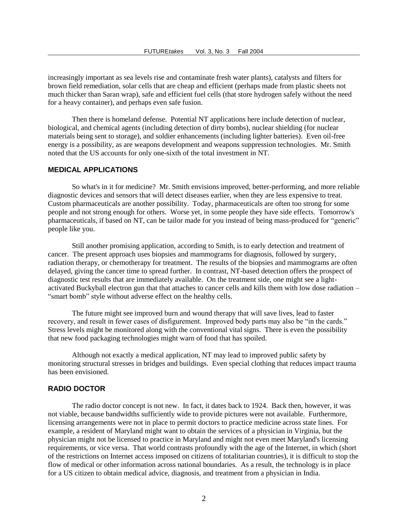increasingly important as sea levels rise and contaminate fresh water plants), catalysts and filters for brown field remediation, solar cells that are cheap and efficient (perhaps made from plastic sheets not much thicker than Saran wrap), safe and efficient fuel cells (that store hydrogen safely without the need for a heavy container), and perhaps even safe fusion.

Then there is homeland defense. Potential NT applications here include detection of nuclear, biological, and chemical agents (including detection of dirty bombs), nuclear shielding (for nuclear materials being sent to storage), and soldier enhancements (including lighter batteries). Even oil-free energy is a possibility, as are weapons development and weapons suppression technologies. Mr. Smith noted that the US accounts for only one-sixth of the total investment in NT.

#### **MEDICAL APPLICATIONS**

So what's in it for medicine? Mr. Smith envisions improved, better-performing, and more reliable diagnostic devices and sensors that will detect diseases earlier, when they are less expensive to treat. Custom pharmaceuticals are another possibility. Today, pharmaceuticals are often too strong for some people and not strong enough for others. Worse yet, in some people they have side effects. Tomorrow's pharmaceuticals, if based on NT, can be tailor made for you instead of being mass-produced for "generic" people like you.

Still another promising application, according to Smith, is to early detection and treatment of cancer. The present approach uses biopsies and mammograms for diagnosis, followed by surgery, radiation therapy, or chemotherapy for treatment. The results of the biopsies and mammograms are often delayed, giving the cancer time to spread further. In contrast, NT-based detection offers the prospect of diagnostic test results that are immediately available. On the treatment side, one might see a lightactivated Buckyball electron gun that that attaches to cancer cells and kills them with low dose radiation – "smart bomb" style without adverse effect on the healthy cells.

The future might see improved burn and wound therapy that will save lives, lead to faster recovery, and result in fewer cases of disfigurement. Improved body parts may also be "in the cards." Stress levels might be monitored along with the conventional vital signs. There is even the possibility that new food packaging technologies might warn of food that has spoiled.

Although not exactly a medical application, NT may lead to improved public safety by monitoring structural stresses in bridges and buildings. Even special clothing that reduces impact trauma has been envisioned.

#### **RADIO DOCTOR**

The radio doctor concept is not new. In fact, it dates back to 1924. Back then, however, it was not viable, because bandwidths sufficiently wide to provide pictures were not available. Furthermore, licensing arrangements were not in place to permit doctors to practice medicine across state lines. For example, a resident of Maryland might want to obtain the services of a physician in Virginia, but the physician might not be licensed to practice in Maryland and might not even meet Maryland's licensing requirements, or vice versa. That world contrasts profoundly with the age of the Internet, in which (short of the restrictions on Internet access imposed on citizens of totalitarian countries), it is difficult to stop the flow of medical or other information across national boundaries. As a result, the technology is in place for a US citizen to obtain medical advice, diagnosis, and treatment from a physician in India.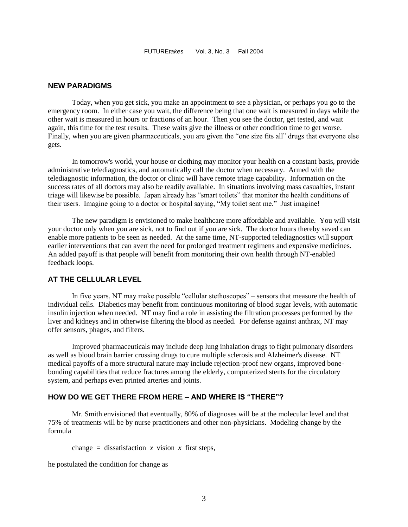#### **NEW PARADIGMS**

Today, when you get sick, you make an appointment to see a physician, or perhaps you go to the emergency room. In either case you wait, the difference being that one wait is measured in days while the other wait is measured in hours or fractions of an hour. Then you see the doctor, get tested, and wait again, this time for the test results. These waits give the illness or other condition time to get worse. Finally, when you are given pharmaceuticals, you are given the "one size fits all" drugs that everyone else gets.

In tomorrow's world, your house or clothing may monitor your health on a constant basis, provide administrative telediagnostics, and automatically call the doctor when necessary. Armed with the telediagnostic information, the doctor or clinic will have remote triage capability. Information on the success rates of all doctors may also be readily available. In situations involving mass casualties, instant triage will likewise be possible. Japan already has "smart toilets" that monitor the health conditions of their users. Imagine going to a doctor or hospital saying, "My toilet sent me." Just imagine!

The new paradigm is envisioned to make healthcare more affordable and available. You will visit your doctor only when you are sick, not to find out if you are sick. The doctor hours thereby saved can enable more patients to be seen as needed. At the same time, NT-supported telediagnostics will support earlier interventions that can avert the need for prolonged treatment regimens and expensive medicines. An added payoff is that people will benefit from monitoring their own health through NT-enabled feedback loops.

#### **AT THE CELLULAR LEVEL**

In five years, NT may make possible "cellular stethoscopes" – sensors that measure the health of individual cells. Diabetics may benefit from continuous monitoring of blood sugar levels, with automatic insulin injection when needed. NT may find a role in assisting the filtration processes performed by the liver and kidneys and in otherwise filtering the blood as needed. For defense against anthrax, NT may offer sensors, phages, and filters.

Improved pharmaceuticals may include deep lung inhalation drugs to fight pulmonary disorders as well as blood brain barrier crossing drugs to cure multiple sclerosis and Alzheimer's disease. NT medical payoffs of a more structural nature may include rejection-proof new organs, improved bonebonding capabilities that reduce fractures among the elderly, computerized stents for the circulatory system, and perhaps even printed arteries and joints.

#### **HOW DO WE GET THERE FROM HERE – AND WHERE IS "THERE"?**

Mr. Smith envisioned that eventually, 80% of diagnoses will be at the molecular level and that 75% of treatments will be by nurse practitioners and other non-physicians. Modeling change by the formula

change = dissatisfaction  $x$  vision  $x$  first steps,

he postulated the condition for change as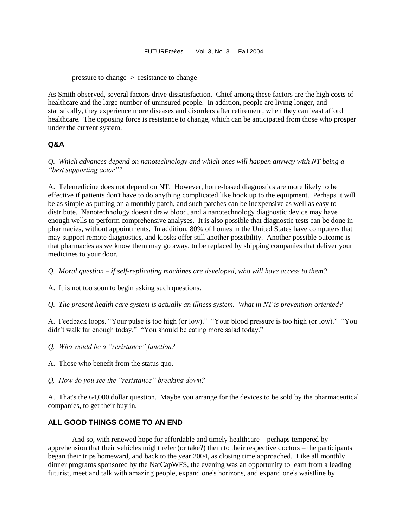pressure to change > resistance to change

As Smith observed, several factors drive dissatisfaction. Chief among these factors are the high costs of healthcare and the large number of uninsured people. In addition, people are living longer, and statistically, they experience more diseases and disorders after retirement, when they can least afford healthcare. The opposing force is resistance to change, which can be anticipated from those who prosper under the current system.

#### **Q&A**

*Q. Which advances depend on nanotechnology and which ones will happen anyway with NT being a "best supporting actor"?*

A. Telemedicine does not depend on NT. However, home-based diagnostics are more likely to be effective if patients don't have to do anything complicated like hook up to the equipment. Perhaps it will be as simple as putting on a monthly patch, and such patches can be inexpensive as well as easy to distribute. Nanotechnology doesn't draw blood, and a nanotechnology diagnostic device may have enough wells to perform comprehensive analyses. It is also possible that diagnostic tests can be done in pharmacies, without appointments. In addition, 80% of homes in the United States have computers that may support remote diagnostics, and kiosks offer still another possibility. Another possible outcome is that pharmacies as we know them may go away, to be replaced by shipping companies that deliver your medicines to your door.

*Q. Moral question – if self-replicating machines are developed, who will have access to them?*

A. It is not too soon to begin asking such questions.

*Q. The present health care system is actually an illness system. What in NT is prevention-oriented?*

A. Feedback loops. "Your pulse is too high (or low)." "Your blood pressure is too high (or low)." "You didn't walk far enough today." "You should be eating more salad today."

- *Q. Who would be a "resistance" function?*
- A. Those who benefit from the status quo.
- *Q. How do you see the "resistance" breaking down?*

A. That's the 64,000 dollar question. Maybe you arrange for the devices to be sold by the pharmaceutical companies, to get their buy in.

#### **ALL GOOD THINGS COME TO AN END**

And so, with renewed hope for affordable and timely healthcare – perhaps tempered by apprehension that their vehicles might refer (or take?) them to their respective doctors – the participants began their trips homeward, and back to the year 2004, as closing time approached. Like all monthly dinner programs sponsored by the NatCapWFS, the evening was an opportunity to learn from a leading futurist, meet and talk with amazing people, expand one's horizons, and expand one's waistline by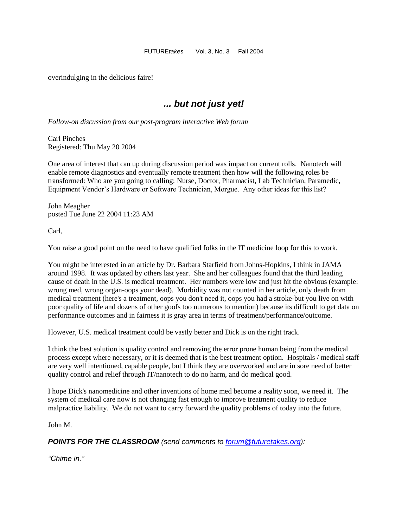overindulging in the delicious faire!

### *... but not just yet!*

*Follow-on discussion from our post-program interactive Web forum*

Carl Pinches Registered: Thu May 20 2004

One area of interest that can up during discussion period was impact on current rolls. Nanotech will enable remote diagnostics and eventually remote treatment then how will the following roles be transformed: Who are you going to calling: Nurse, Doctor, Pharmacist, Lab Technician, Paramedic, Equipment Vendor's Hardware or Software Technician, Morgue. Any other ideas for this list?

John Meagher posted Tue June 22 2004 11:23 AM

Carl,

You raise a good point on the need to have qualified folks in the IT medicine loop for this to work.

You might be interested in an article by Dr. Barbara Starfield from Johns-Hopkins, I think in JAMA around 1998. It was updated by others last year. She and her colleagues found that the third leading cause of death in the U.S. is medical treatment. Her numbers were low and just hit the obvious (example: wrong med, wrong organ-oops your dead). Morbidity was not counted in her article, only death from medical treatment (here's a treatment, oops you don't need it, oops you had a stroke-but you live on with poor quality of life and dozens of other goofs too numerous to mention) because its difficult to get data on performance outcomes and in fairness it is gray area in terms of treatment/performance/outcome.

However, U.S. medical treatment could be vastly better and Dick is on the right track.

I think the best solution is quality control and removing the error prone human being from the medical process except where necessary, or it is deemed that is the best treatment option. Hospitals / medical staff are very well intentioned, capable people, but I think they are overworked and are in sore need of better quality control and relief through IT/nanotech to do no harm, and do medical good.

I hope Dick's nanomedicine and other inventions of home med become a reality soon, we need it. The system of medical care now is not changing fast enough to improve treatment quality to reduce malpractice liability. We do not want to carry forward the quality problems of today into the future.

John M.

*POINTS FOR THE CLASSROOM (send comments to [forum@futuretakes.org\)](mailto:forum@futuretakes.org):*

*"Chime in."*